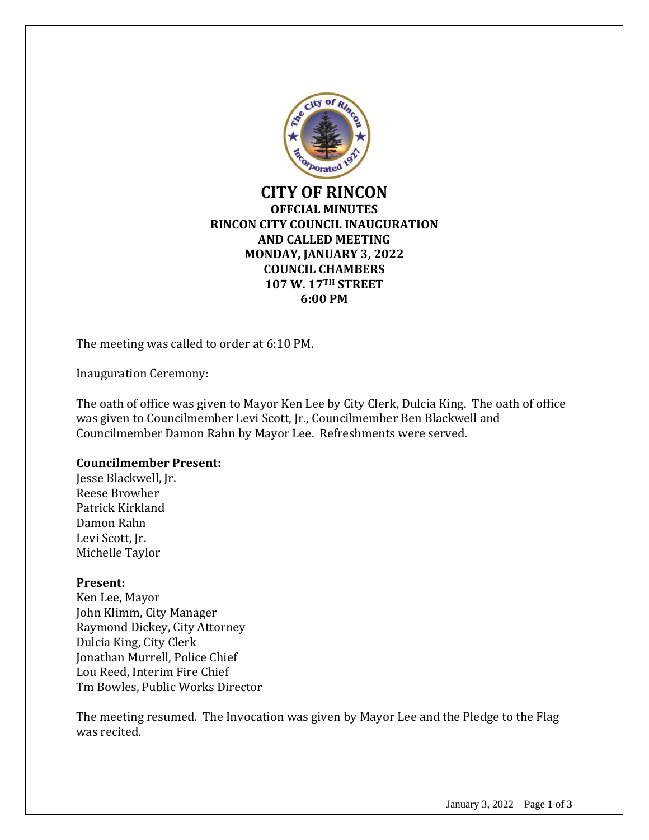

# **CITY OF RINCON OFFCIAL MINUTES RINCON CITY COUNCIL INAUGURATION AND CALLED MEETING MONDAY, JANUARY 3, 2022 COUNCIL CHAMBERS 107 W. 17TH STREET 6:00 PM**

The meeting was called to order at 6:10 PM.

Inauguration Ceremony:

The oath of office was given to Mayor Ken Lee by City Clerk, Dulcia King. The oath of office was given to Councilmember Levi Scott, Jr., Councilmember Ben Blackwell and Councilmember Damon Rahn by Mayor Lee. Refreshments were served.

#### **Councilmember Present:**

Jesse Blackwell, Jr. Reese Browher Patrick Kirkland Damon Rahn Levi Scott, Jr. Michelle Taylor

#### **Present:**

Ken Lee, Mayor John Klimm, City Manager Raymond Dickey, City Attorney Dulcia King, City Clerk Jonathan Murrell, Police Chief Lou Reed, Interim Fire Chief Tm Bowles, Public Works Director

The meeting resumed. The Invocation was given by Mayor Lee and the Pledge to the Flag was recited.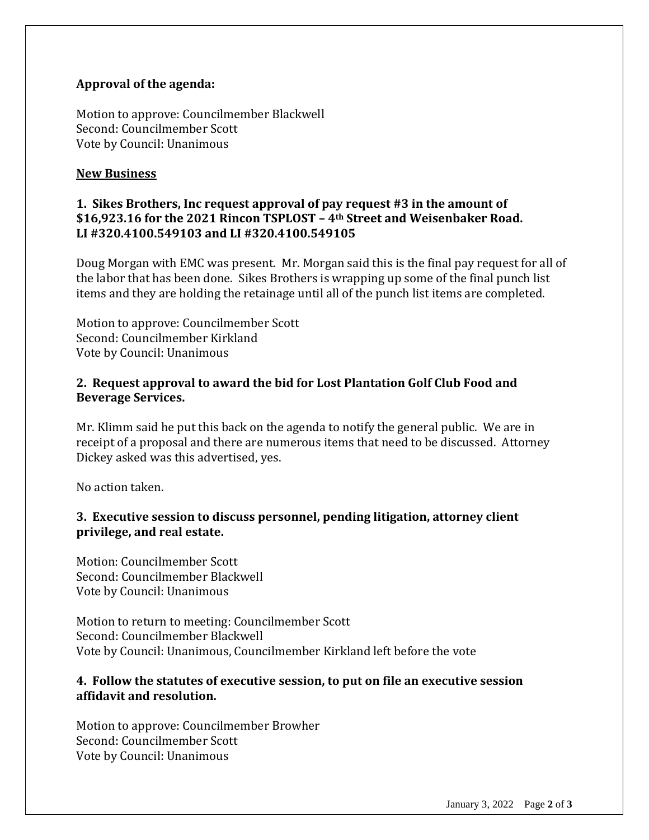### **Approval of the agenda:**

Motion to approve: Councilmember Blackwell Second: Councilmember Scott Vote by Council: Unanimous

### **New Business**

# **1. Sikes Brothers, Inc request approval of pay request #3 in the amount of \$16,923.16 for the 2021 Rincon TSPLOST – 4th Street and Weisenbaker Road. LI #320.4100.549103 and LI #320.4100.549105**

Doug Morgan with EMC was present. Mr. Morgan said this is the final pay request for all of the labor that has been done. Sikes Brothers is wrapping up some of the final punch list items and they are holding the retainage until all of the punch list items are completed.

Motion to approve: Councilmember Scott Second: Councilmember Kirkland Vote by Council: Unanimous

## **2. Request approval to award the bid for Lost Plantation Golf Club Food and Beverage Services.**

Mr. Klimm said he put this back on the agenda to notify the general public. We are in receipt of a proposal and there are numerous items that need to be discussed. Attorney Dickey asked was this advertised, yes.

No action taken.

## **3. Executive session to discuss personnel, pending litigation, attorney client privilege, and real estate.**

Motion: Councilmember Scott Second: Councilmember Blackwell Vote by Council: Unanimous

Motion to return to meeting: Councilmember Scott Second: Councilmember Blackwell Vote by Council: Unanimous, Councilmember Kirkland left before the vote

### **4. Follow the statutes of executive session, to put on file an executive session affidavit and resolution.**

Motion to approve: Councilmember Browher Second: Councilmember Scott Vote by Council: Unanimous